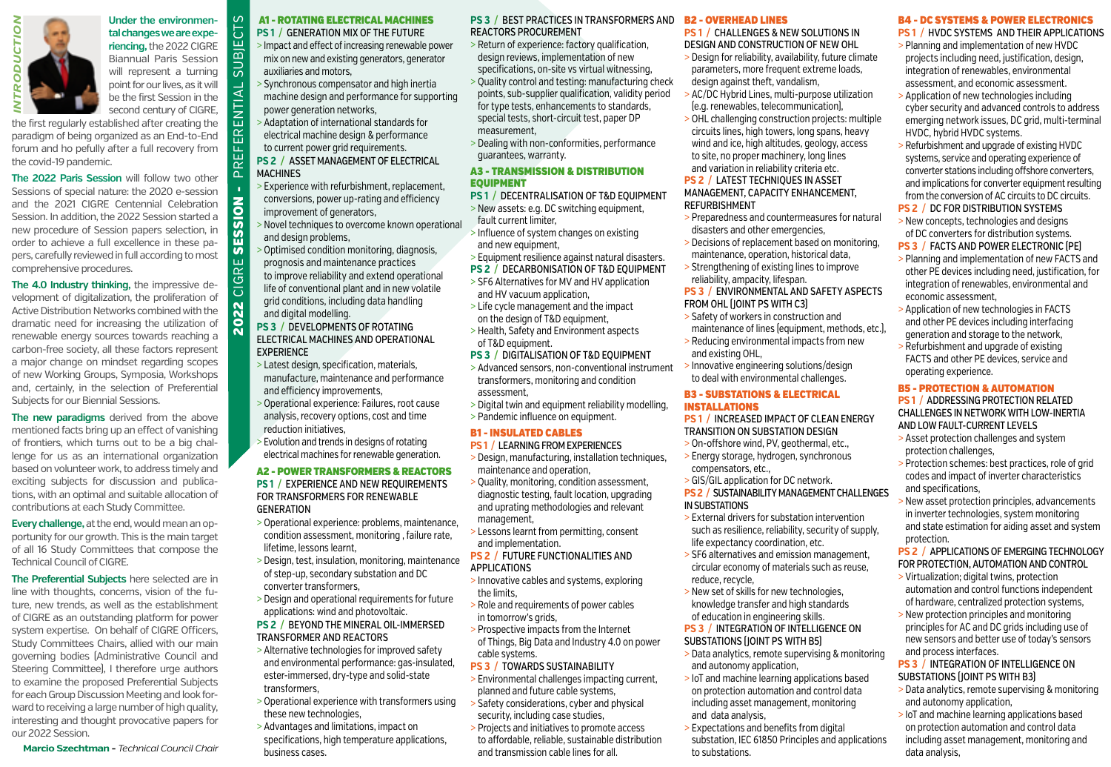



**riencing,** the 2022 CIGRE Biannual Paris Session will represent a turning point for our lives, as it will be the first Session in the second century of CIGRE,

**Under the environmen-**

2022 CIGRE SESSION - PREFERENTIAL SUBJECTS

SESSION

Ш CIGRI

2022

 $\overline{\Omega}$ 

ENTIAI

 $\alpha$ 

 $\mathcal{L}$ 

Ð ய் SUBJ

the first regularly established after creating the paradigm of being organized as an End-to-End forum and ho pefully after a full recovery from the covid-19 pandemic.

**The 2022 Paris Session** will follow two other Sessions of special nature: the 2020 e-session and the 2021 CIGRE Centennial Celebration Session. In addition, the 2022 Session started a new procedure of Session papers selection, in order to achieve a full excellence in these papers, carefully reviewed in full according to most comprehensive procedures.

**The 4.0 Industry thinking,** the impressive development of digitalization, the proliferation of Active Distribution Networks combined with the dramatic need for increasing the utilization of renewable energy sources towards reaching a carbon-free society, all these factors represent a major change on mindset regarding scopes of new Working Groups, Symposia, Workshops and, certainly, in the selection of Preferential Subjects for our Biennial Sessions.

**The new paradigms** derived from the above mentioned facts bring up an effect of vanishing of frontiers, which turns out to be a big challenge for us as an international organization based on volunteer work, to address timely and exciting subjects for discussion and publications, with an optimal and suitable allocation of contributions at each Study Committee.

**Every challenge,** at the end, would mean an opportunity for our growth. This is the main target of all 16 Study Committees that compose the Technical Council of CIGRE.

**The Preferential Subjects** here selected are in line with thoughts, concerns, vision of the future, new trends, as well as the establishment of CIGRE as an outstanding platform for power system expertise. On behalf of CIGRE Officers, Study Committees Chairs, allied with our main governing bodies (Administrative Council and Steering Committee), I therefore urge authors to examine the proposed Preferential Subjects for each Group Discussion Meeting and look forward to receiving a large number of high quality, interesting and thought provocative papers for our 2022 Session.

**Marcio Szechtman -** *Technical Council Chair*

#### A1 - ROTATING ELECTRICAL MACHINES **PS 1 /** GENERATION MIX OF THE FUTURE

- > Impact and effect of increasing renewable power mix on new and existing generators, generator auxiliaries and motors,
- > Synchronous compensator and high inertia machine design and performance for supporting power generation networks,
- > Adaptation of international standards for electrical machine design & performance to current power grid requirements.

**PS 2 /** ASSET MANAGEMENT OF ELECTRICAL **MACHINES** 

- > Experience with refurbishment, replacement, conversions, power up-rating and efficiency improvement of generators,
- > Novel techniques to overcome known operational and design problems,
- > Optimised condition monitoring, diagnosis, prognosis and maintenance practices to improve reliability and extend operational life of conventional plant and in new volatile
- grid conditions, including data handling and digital modelling. **PS 3 /** DEVELOPMENTS OF ROTATING
- ELECTRICAL MACHINES AND OPERATIONAL EXPERIENCE
- > Latest design, specification, materials, manufacture, maintenance and performance and efficiency improvements,
- > Operational experience: Failures, root cause analysis, recovery options, cost and time reduction initiatives,
- > Evolution and trends in designs of rotating electrical machines for renewable generation.

#### A2 - POWER TRANSFORMERS & REACTORS

- **PS 1 /** EXPERIENCE AND NEW REQUIREMENTS FOR TRANSFORMERS FOR RENEWABLE **GENERATION**
- > Operational experience: problems, maintenance, condition assessment, monitoring , failure rate, lifetime, lessons learnt,
- > Design, test, insulation, monitoring, maintenance of step-up, secondary substation and DC converter transformers,
- > Design and operational requirements for future applications: wind and photovoltaic.

#### **PS 2 /** BEYOND THE MINERAL OIL-IMMERSED TRANSFORMER AND REACTORS

- > Alternative technologies for improved safety and environmental performance: gas-insulated, ester-immersed, dry-type and solid-state transformers,
- > Operational experience with transformers using these new technologies,
- > Advantages and limitations, impact on specifications, high temperature applications, business cases.

#### **PS 3 /** BEST PRACTICES IN TRANSFORMERS AND REACTORS PROCUREMENT

- > Return of experience: factory qualification, design reviews, implementation of new specifications, on-site vs virtual witnessing,
- > Quality control and testing: manufacturing check points, sub-supplier qualification, validity period for type tests, enhancements to standards, special tests, short-circuit test, paper DP measurement,
- > Dealing with non-conformities, performance guarantees, warranty.

#### A3 - TRANSMISSION & DISTRIBUTION EQUIPMENT

- **PS 1 /** DECENTRALISATION OF T&D EQUIPMENT
- > New assets: e.g. DC switching equipment, fault current limiter,
	- > Influence of system changes on existing and new equipment.
	- > Equipment resilience against natural disasters.
	- **PS 2 /** DECARBONISATION OF T&D EQUIPMENT
	- > SF6 Alternatives for MV and HV application and HV vacuum application,
	- > Life cycle management and the impact on the design of T&D equipment,
	- > Health, Safety and Environment aspects of T&D equipment.
	- **PS 3 / DIGITALISATION OF T&D EQUIPMENT**
	- > Advanced sensors, non-conventional instrument transformers, monitoring and condition assessment,
	- > Digital twin and equipment reliability modelling, > Pandemic influence on equipment.

#### B1 - INSULATED CABLES

#### **PS 1 /** LEARNING FROM EXPERIENCES

- > Design, manufacturing, installation techniques, maintenance and operation,
- > Quality, monitoring, condition assessment, diagnostic testing, fault location, upgrading and uprating methodologies and relevant management,
- > Lessons learnt from permitting, consent and implementation.
- **PS 2 /** FUTURE FUNCTIONALITIES AND APPLICATIONS
- > Innovative cables and systems, exploring the limits,
- > Role and requirements of power cables in tomorrow's grids,
- > Prospective impacts from the Internet of Things, Big Data and Industry 4.0 on power cable systems.
- **PS 3 /** TOWARDS SUSTAINABILITY
- > Environmental challenges impacting current, planned and future cable systems,
- > Safety considerations, cyber and physical security, including case studies,
- > Projects and initiatives to promote access to affordable, reliable, sustainable distribution and transmission cable lines for all.

#### B2 - OVERHEAD LINES

- **PS 1 /** CHALLENGES & NEW SOLUTIONS IN DESIGN AND CONSTRUCTION OF NEW OHL > Design for reliability, availability, future climate parameters, more frequent extreme loads, design against theft, vandalism,
- > AC/DC Hybrid Lines, multi-purpose utilization (e.g. renewables, telecommunication),
- > OHL challenging construction projects: multiple circuits lines, high towers, long spans, heavy wind and ice, high altitudes, geology, access to site, no proper machinery, long lines and variation in reliability criteria etc. **PS 2 /** LATEST TECHNIQUES IN ASSET

#### MANAGEMENT, CAPACITY ENHANCEMENT, REFURBISHMENT

- > Preparedness and countermeasures for natural disasters and other emergencies,
- > Decisions of replacement based on monitoring, maintenance, operation, historical data,
- > Strengthening of existing lines to improve reliability, ampacity, lifespan.
- **PS 3 /** ENVIRONMENTAL AND SAFETY ASPECTS FROM OHL (JOINT PS WITH C3)
- > Safety of workers in construction and maintenance of lines (equipment, methods, etc.), > Reducing environmental impacts from new
- and existing OHL,
- > Innovative engineering solutions/design to deal with environmental challenges.

#### B3 - SUBSTATIONS & ELECTRICAL INSTALLATIONS

**PS 1 /** INCREASED IMPACT OF CLEAN ENERGY TRANSITION ON SUBSTATION DESIGN

- > On-offshore wind, PV, geothermal, etc., > Energy storage, hydrogen, synchronous
- compensators, etc., > GIS/GIL application for DC network.
- **PS 2 /** SUSTAINABILITY MANAGEMENT CHALLENGES IN SUBSTATIONS
- > External drivers for substation intervention such as resilience, reliability, security of supply, life expectancy coordination, etc.
- > SF6 alternatives and emission management, circular economy of materials such as reuse, reduce, recycle,
- > New set of skills for new technologies, knowledge transfer and high standards of education in engineering skills.
- **PS 3 /** INTEGRATION OF INTELLIGENCE ON SUBSTATIONS (JOINT PS WITH B5)
- > Data analytics, remote supervising & monitoring and autonomy application,
- > IoT and machine learning applications based on protection automation and control data including asset management, monitoring and data analysis,
- > Expectations and benefits from digital substation, IEC 61850 Principles and applications to substations.

## B4 - DC SYSTEMS & POWER ELECTRONICS

- **PS 1 /** HVDC SYSTEMS AND THEIR APPLICATIONS
- > Planning and implementation of new HVDC projects including need, justification, design, integration of renewables, environmental assessment, and economic assessment.
- > Application of new technologies including cyber security and advanced controls to address emerging network issues, DC grid, multi-terminal HVDC, hybrid HVDC systems.
- > Refurbishment and upgrade of existing HVDC systems, service and operating experience of converter stations including offshore converters, and implications for converter equipment resulting from the conversion of AC circuits to DC circuits. **PS 2 /** DC FOR DISTRIBUTION SYSTEMS
- > New concepts, technologies and designs of DC converters for distribution systems.
- **PS 3 /** FACTS AND POWER ELECTRONIC (PE) > Planning and implementation of new FACTS and other PE devices including need, justification, for

integration of renewables, environmental and economic assessment,

> Application of new technologies in FACTS and other PE devices including interfacing generation and storage to the network, > Refurbishment and upgrade of existing FACTS and other PE devices, service and operating experience.

#### B5 - PROTECTION & AUTOMATION

#### **PS 1 /** ADDRESSING PROTECTION RELATED CHALLENGES IN NETWORK WITH LOW-INERTIA AND LOW FAULT-CURRENT LEVELS

- > Asset protection challenges and system protection challenges,
- > Protection schemes: best practices, role of grid codes and impact of inverter characteristics and specifications,
- > New asset protection principles, advancements in inverter technologies, system monitoring and state estimation for aiding asset and system protection.

#### **PS 2 /** APPLICATIONS OF EMERGING TECHNOLOGY FOR PROTECTION, AUTOMATION AND CONTROL > Virtualization; digital twins, protection

automation and control functions independent of hardware, centralized protection systems, > New protection principles and monitoring principles for AC and DC grids including use of new sensors and better use of today's sensors

**PS 3 /** INTEGRATION OF INTELLIGENCE ON SUBSTATIONS (JOINT PS WITH B3)

> Data analytics, remote supervising & monitoring

> IoT and machine learning applications based on protection automation and control data including asset management, monitoring and

and process interfaces.

and autonomy application,

data analysis,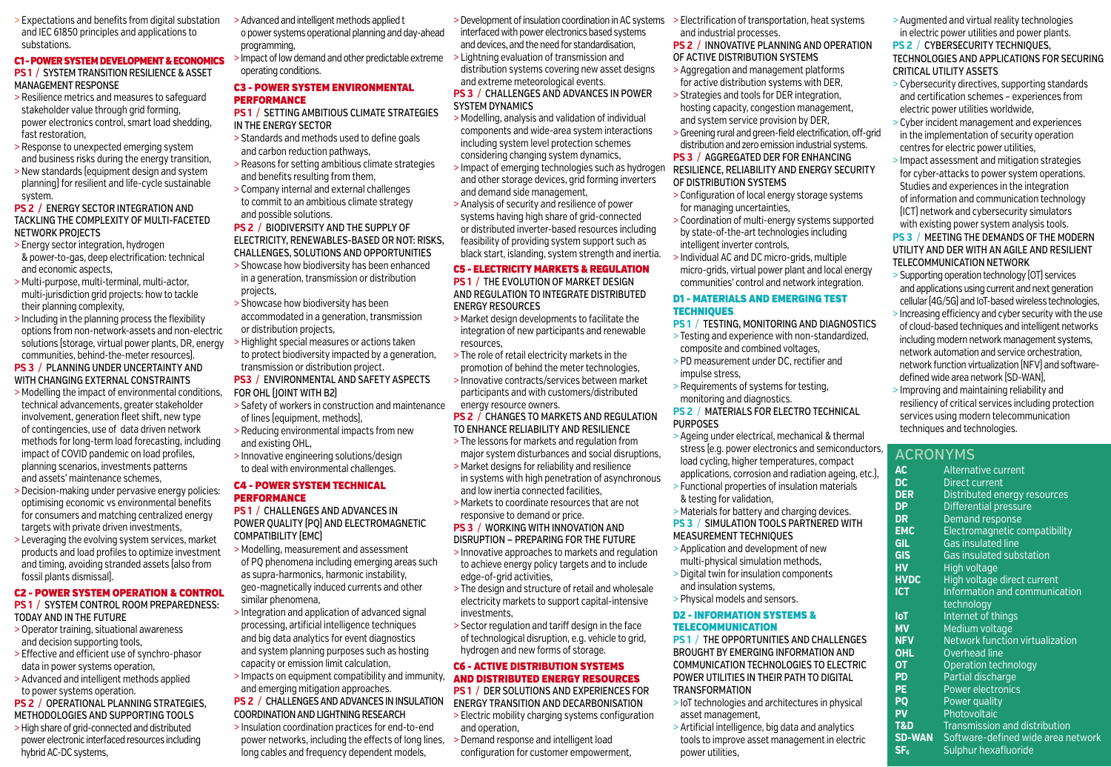> Expectations and benefits from digital substation and IEC 61850 principles and applications to substations.

#### C1 - POWER SYSTEM DEVELOPMENT & ECONOMICS **PS 1 /** SYSTEM TRANSITION RESILIENCE & ASSET MANAGEMENT RESPONSE

- > Resilience metrics and measures to safeguard stakeholder value through grid forming, power electronics control, smart load shedding, fast restoration,
- > Response to unexpected emerging system and business risks during the energy transition,
- > New standards (equipment design and system planning) for resilient and life-cycle sustainable system.

#### **PS 2 /** ENERGY SECTOR INTEGRATION AND TACKLING THE COMPLEXITY OF MULTI-FACETED NETWORK PROJECTS

- > Energy sector integration, hydrogen & power-to-gas, deep electrification: technical and economic aspects,
- > Multi-purpose, multi-terminal, multi-actor, multi-jurisdiction grid projects: how to tackle their planning complexity,
- > Including in the planning process the flexibility options from non-network-assets and non-electric solutions (storage, virtual power plants, DR, energy communities, behind-the-meter resources).

#### **PS 3 /** PLANNING UNDER UNCERTAINTY AND WITH CHANGING EXTERNAL CONSTRAINTS

- > Modelling the impact of environmental conditions, technical advancements, greater stakeholder involvement, generation fleet shift, new type of contingencies, use of data driven network methods for long-term load forecasting, including impact of COVID pandemic on load profiles, planning scenarios, investments patterns and assets' maintenance schemes,
- > Decision-making under pervasive energy policies: optimising economic vs environmental benefits for consumers and matching centralized energy targets with private driven investments,
- > Leveraging the evolving system services, market products and load profiles to optimize investment and timing, avoiding stranded assets (also from fossil plants dismissal).

## C2 - POWER SYSTEM OPERATION & CONTROL

- **PS 1 /** SYSTEM CONTROL ROOM PREPAREDNESS: TODAY AND IN THE FUTURE
- > Operator training, situational awareness and decision supporting tools,
- > Effective and efficient use of synchro-phasor data in power systems operation,
- > Advanced and intelligent methods applied to power systems operation.

### **PS 2 /** OPERATIONAL PLANNING STRATEGIES, METHODOLOGIES AND SUPPORTING TOOLS

> High share of grid-connected and distributed power electronic interfaced resources including hybrid AC-DC systems,

- > Advanced and intelligent methods applied t o power systems operational planning and day-ahead programming,
- > Impact of low demand and other predictable extreme operating conditions.

#### C3 - POWER SYSTEM ENVIRONMENTAL PERFORMANCE

- **PS 1 /** SETTING AMBITIOUS CLIMATE STRATEGIES IN THE ENERGY SECTOR
- > Standards and methods used to define goals and carbon reduction pathways,
- > Reasons for setting ambitious climate strategies and benefits resulting from them,
- > Company internal and external challenges to commit to an ambitious climate strategy and possible solutions.

#### **PS 2 /** BIODIVERSITY AND THE SUPPLY OF ELECTRICITY, RENEWABLES-BASED OR NOT: RISKS, CHALLENGES, SOLUTIONS AND OPPORTUNITIES

- > Showcase how biodiversity has been enhanced in a generation, transmission or distribution projects,
- > Showcase how biodiversity has been accommodated in a generation, transmission or distribution projects,
- > Highlight special measures or actions taken to protect biodiversity impacted by a generation, transmission or distribution project.
- **PS3 /** ENVIRONMENTAL AND SAFETY ASPECTS FOR OHL (JOINT WITH B2)
- > Safety of workers in construction and maintenance of lines (equipment, methods),
- > Reducing environmental impacts from new and existing OHL,
- > Innovative engineering solutions/design to deal with environmental challenges.

#### C4 - POWER SYSTEM TECHNICAL **PERFORMANCE**

**PS 1 /** CHALLENGES AND ADVANCES IN POWER QUALITY (PQ) AND ELECTROMAGNETIC COMPATIBILITY (EMC)

- > Modelling, measurement and assessment of PQ phenomena including emerging areas such as supra-harmonics, harmonic instability, geo-magnetically induced currents and other similar phenomena,
- > Integration and application of advanced signal processing, artificial intelligence techniques and big data analytics for event diagnostics and system planning purposes such as hosting capacity or emission limit calculation,
- > Impacts on equipment compatibility and immunity, and emerging mitigation approaches.
- **PS 2 /** CHALLENGES AND ADVANCES IN INSULATION COORDINATION AND LIGHTNING RESEARCH > Insulation coordination practices for end-to-end
- power networks, including the effects of long lines, long cables and frequency dependent models,
- > Development of insulation coordination in AC systems interfaced with power electronics based systems and devices, and the need for standardisation,
- > Lightning evaluation of transmission and distribution systems covering new asset designs and extreme meteorological events. **PS 3 /** CHALLENGES AND ADVANCES IN POWER

## SYSTEM DYNAMICS

- > Modelling, analysis and validation of individual components and wide-area system interactions including system level protection schemes considering changing system dynamics,
- > Impact of emerging technologies such as hydrogen and other storage devices, grid forming inverters and demand side management,
- > Analysis of security and resilience of power systems having high share of grid-connected or distributed inverter-based resources including feasibility of providing system support such as black start, islanding, system strength and inertia.

## C5 - ELECTRICITY MARKETS & REGULATION

**PS 1 /** THE EVOLUTION OF MARKET DESIGN AND REGULATION TO INTEGRATE DISTRIBUTED ENERGY RESOURCES

- > Market design developments to facilitate the integration of new participants and renewable resources,
- > The role of retail electricity markets in the promotion of behind the meter technologies,
- > Innovative contracts/services between market participants and with customers/distributed energy resource owners.

#### **PS 2 /** CHANGES TO MARKETS AND REGULATION TO ENHANCE RELIABILITY AND RESILIENCE

- > The lessons for markets and regulation from major system disturbances and social disruptions,
- > Market designs for reliability and resilience in systems with high penetration of asynchronous and low inertia connected facilities,
- > Markets to coordinate resources that are not responsive to demand or price.

#### **PS 3 /** WORKING WITH INNOVATION AND DISRUPTION — PREPARING FOR THE FUTURE

- > Innovative approaches to markets and regulation to achieve energy policy targets and to include edge-of-grid activities,
- > The design and structure of retail and wholesale electricity markets to support capital-intensive investments,
- > Sector regulation and tariff design in the face of technological disruption, e.g. vehicle to grid, hydrogen and new forms of storage.

#### C6 - ACTIVE DISTRIBUTION SYSTEMS AND DISTRIBUTED ENERGY RESOURCES

**PS 1 /** DER SOLUTIONS AND EXPERIENCES FOR

- ENERGY TRANSITION AND DECARBONISATION > Electric mobility charging systems configuration and operation,
- > Demand response and intelligent load configuration for customer empowerment,

> Electrification of transportation, heat systems and industrial processes.

#### **PS 2 /** INNOVATIVE PLANNING AND OPERATION OF ACTIVE DISTRIBUTION SYSTEMS

- > Aggregation and management platforms for active distribution systems with DER,
- > Strategies and tools for DER integration, hosting capacity, congestion management, and system service provision by DER,
- > Greening rural and green-field electrification, off-grid distribution and zero emission industrial systems.

#### **PS 3 /** AGGREGATED DER FOR ENHANCING RESILIENCE, RELIABILITY AND ENERGY SECURITY OF DISTRIBUTION SYSTEMS

- > Configuration of local energy storage systems for managing uncertainties,
- > Coordination of multi-energy systems supported by state-of-the-art technologies including intelligent inverter controls,
- > Individual AC and DC micro-grids, multiple micro-grids, virtual power plant and local energy communities' control and network integration.

#### D1 - MATERIALS AND EMERGING TEST **TECHNIQUES**

## **PS 1 /** TESTING, MONITORING AND DIAGNOSTICS

- > Testing and experience with non-standardized, composite and combined voltages,
- > PD measurement under DC, rectifier and impulse stress,
- > Requirements of systems for testing, monitoring and diagnostics.

#### **PS 2 /** MATERIALS FOR ELECTRO TECHNICAL PURPOSES

- > Ageing under electrical, mechanical & thermal stress (e.g. power electronics and semiconductors, load cycling, higher temperatures, compact applications, corrosion and radiation ageing, etc.),
- > Functional properties of insulation materials & testing for validation,

#### > Materials for battery and charging devices. **PS 3 /** SIMULATION TOOLS PARTNERED WITH

## MEASUREMENT TECHNIQUES

- > Application and development of new multi-physical simulation methods,
- > Digital twin for insulation components and insulation systems,
- > Physical models and sensors.

#### D2 - INFORMATION SYSTEMS & TELECOMMUNICATION

**PS 1 /** THE OPPORTUNITIES AND CHALLENGES BROUGHT BY EMERGING INFORMATION AND COMMUNICATION TECHNOLOGIES TO ELECTRIC POWER UTILITIES IN THEIR PATH TO DIGITAL TRANSFORMATION

- > IoT technologies and architectures in physical asset management,
- > Artificial intelligence, big data and analytics tools to improve asset management in electric power utilities,

> Augmented and virtual reality technologies in electric power utilities and power plants.

## **PS 2 / CYBERSECURITY TECHNIQUES.** TECHNOLOGIES AND APPLICATIONS FOR SECURING CRITICAL UTILITY ASSETS

- > Cybersecurity directives, supporting standards and certification schemes – experiences from electric power utilities worldwide,
- > Cyber incident management and experiences in the implementation of security operation centres for electric power utilities,
- > Impact assessment and mitigation strategies for cyber-attacks to power system operations. Studies and experiences in the integration of information and communication technology (ICT) network and cybersecurity simulators with existing power system analysis tools.

#### **PS 3 /** MEETING THE DEMANDS OF THE MODERN UTILITY AND DER WITH AN AGILE AND RESILIENT TELECOMMUNICATION NETWORK

- > Supporting operation technology (OT) services and applications using current and next generation cellular (4G/5G) and IoT-based wireless technologies,
- > Increasing efficiency and cyber security with the use of cloud-based techniques and intelligent networks including modern network management systems, network automation and service orchestration, network function virtualization (NFV) and softwaredefined wide area network (SD-WAN),
- > Improving and maintaining reliability and resiliency of critical services including protection services using modern telecommunication techniques and technologies.

ACRONYMS

**AC** Alternative current<br>**DC** Direct current **DC** Direct current<br>**DER** Distributed en

**GIL** Gas insulated line<br>**GIS** Gas insulated sub

**HV** High voltage

**OHL** Overhead line **OT** Operation technology **PD** Partial discharge<br>**PE** Power electronic

**PQ** Power quality **PV** Photovoltaic

**DER** Distributed energy resources<br>**DP** Differential pressure **DP** Differential pressure<br>**DR** Demand response **DR** Demand response<br>**FMC** Flectromagnetic com

**EMC** Electromagnetic compatibility<br>**GIL** Gas insulated line

**HVDC** High voltage direct current **ICT** Information and communication technology **IoT** Internet of things **MV** Medium voltage<br> **NFV** Network function

**Power electronics** 

**T&D** Transmission and distribution<br>**SD-WAN** Software-defined wide area n

**SF<sub>6</sub>** Sulphur hexafluoride

Gas insulated substation

**Network function virtualization** 

**Software-defined wide area network**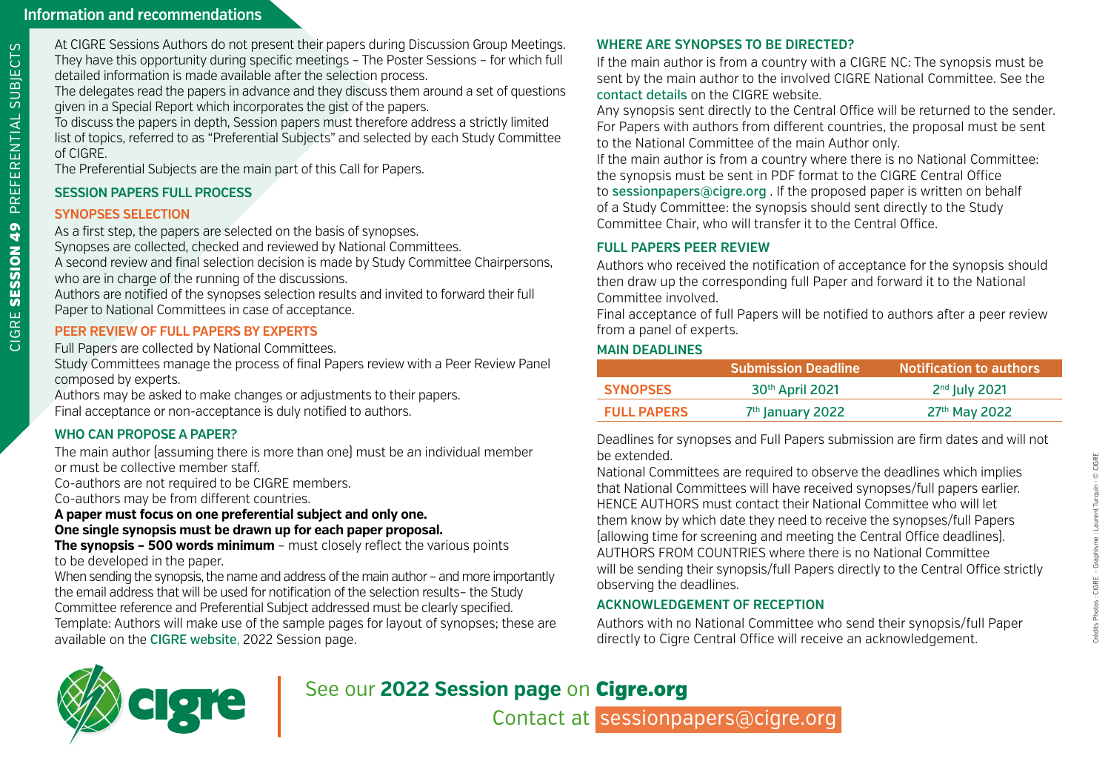At CIGRE Sessions Authors do not present their papers during Discussion Group Meetings. They have this opportunity during specific meetings – The Poster Sessions – for which full detailed information is made available after the selection process.

The delegates read the papers in advance and they discuss them around a set of questions given in a Special Report which incorporates the gist of the papers.

To discuss the papers in depth, Session papers must therefore address a strictly limited list of topics, referred to as "Preferential Subjects" and selected by each Study Committee of CIGRE.

The Preferential Subjects are the main part of this Call for Papers.

# **SESSION PAPERS FULL PROCESS**

# **SYNOPSES SELECTION**

CIGRE SESSION 49 PREFERENTIAL SUBJECTS

CIGRE SESSION 49 PREFERENTIAL SUBJECTS

As a first step, the papers are selected on the basis of synopses. Synopses are collected, checked and reviewed by National Committees. A second review and final selection decision is made by Study Committee Chairpersons,

who are in charge of the running of the discussions.

Authors are notified of the synopses selection results and invited to forward their full Paper to National Committees in case of acceptance.

# **PEER REVIEW OF FULL PAPERS BY EXPERTS**

Full Papers are collected by National Committees.

Study Committees manage the process of final Papers review with a Peer Review Panel composed by experts.

Authors may be asked to make changes or adjustments to their papers. Final acceptance or non-acceptance is duly notified to authors.

# **WHO CAN PROPOSE A PAPER?**

The main author (assuming there is more than one) must be an individual member or must be collective member staff.

Co-authors are not required to be CIGRE members.

Co-authors may be from different countries.

**A paper must focus on one preferential subject and only one. One single synopsis must be drawn up for each paper proposal.** 

**The synopsis – 500 words minimum** – must closely reflect the various points to be developed in the paper.

When sending the synopsis, the name and address of the main author - and more importantly the email address that will be used for notification of the selection results– the Study Committee reference and Preferential Subject addressed must be clearly specified. Template: Authors will make use of the sample pages for layout of synopses; these are available on the [CIGRE website](https://www.cigre.org/), 2022 Session page.

# **WHERE ARE SYNOPSES TO BE DIRECTED?**

If the main author is from a country with a CIGRE NC: The synopsis must be sent by the main author to the involved CIGRE National Committee. See the [contact details](https://www.cigre.org/GB/search-result?q=contact+details) on the CIGRE website.

Any synopsis sent directly to the Central Office will be returned to the sender. For Papers with authors from different countries, the proposal must be sent to the National Committee of the main Author only.

If the main author is from a country where there is no National Committee: the synopsis must be sent in PDF format to the CIGRE Central Office to [sessionpapers@cigre.org](mailto:sessionpapers%40cigre.org?subject=) . If the proposed paper is written on behalf of a Study Committee: the synopsis should sent directly to the Study Committee Chair, who will transfer it to the Central Office.

# **FULL PAPERS PEER REVIEW**

Authors who received the notification of acceptance for the synopsis should then draw up the corresponding full Paper and forward it to the National Committee involved.

Final acceptance of full Papers will be notified to authors after a peer review from a panel of experts.

# **MAIN DEADLINES**

|                    | <b>Submission Deadline</b>   | <b>Notification to authors</b> |
|--------------------|------------------------------|--------------------------------|
| <b>SYNOPSES</b>    | 30th April 2021              | $2nd$ July 2021                |
| <b>FULL PAPERS</b> | 7 <sup>th</sup> January 2022 | 27 <sup>th</sup> May 2022      |

Deadlines for synopses and Full Papers submission are firm dates and will not be extended.

National Committees are required to observe the deadlines which implies that National Committees will have received synopses/full papers earlier. HENCE AUTHORS must contact their National Committee who will let them know by which date they need to receive the synopses/full Papers (allowing time for screening and meeting the Central Office deadlines). AUTHORS FROM COUNTRIES where there is no National Committee will be sending their synopsis/full Papers directly to the Central Office strictly observing the deadlines.

# **ACKNOWLEDGEMENT OF RECEPTION**

Authors with no National Committee who send their synopsis/full Paper directly to Cigre Central Office will receive an acknowledgement.



See our **2022 Session page** on [Cigre.org](https://www.cigre.org/)